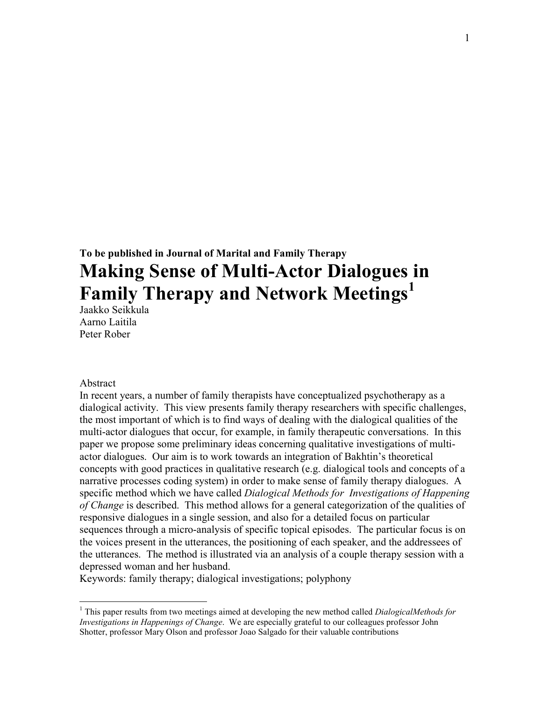# To be published in Journal of Marital and Family Therapy Making Sense of Multi-Actor Dialogues in Family Therapy and Network Meetings<sup>1</sup>

Jaakko Seikkula Aarno Laitila Peter Rober

# Abstract

 $\overline{a}$ 

In recent years, a number of family therapists have conceptualized psychotherapy as a dialogical activity. This view presents family therapy researchers with specific challenges, the most important of which is to find ways of dealing with the dialogical qualities of the multi-actor dialogues that occur, for example, in family therapeutic conversations. In this paper we propose some preliminary ideas concerning qualitative investigations of multiactor dialogues. Our aim is to work towards an integration of Bakhtin's theoretical concepts with good practices in qualitative research (e.g. dialogical tools and concepts of a narrative processes coding system) in order to make sense of family therapy dialogues. A specific method which we have called *Dialogical Methods for Investigations of Happening* of Change is described. This method allows for a general categorization of the qualities of responsive dialogues in a single session, and also for a detailed focus on particular sequences through a micro-analysis of specific topical episodes. The particular focus is on the voices present in the utterances, the positioning of each speaker, and the addressees of the utterances. The method is illustrated via an analysis of a couple therapy session with a depressed woman and her husband.

Keywords: family therapy; dialogical investigations; polyphony

<sup>&</sup>lt;sup>1</sup> This paper results from two meetings aimed at developing the new method called *DialogicalMethods for* Investigations in Happenings of Change. We are especially grateful to our colleagues professor John Shotter, professor Mary Olson and professor Joao Salgado for their valuable contributions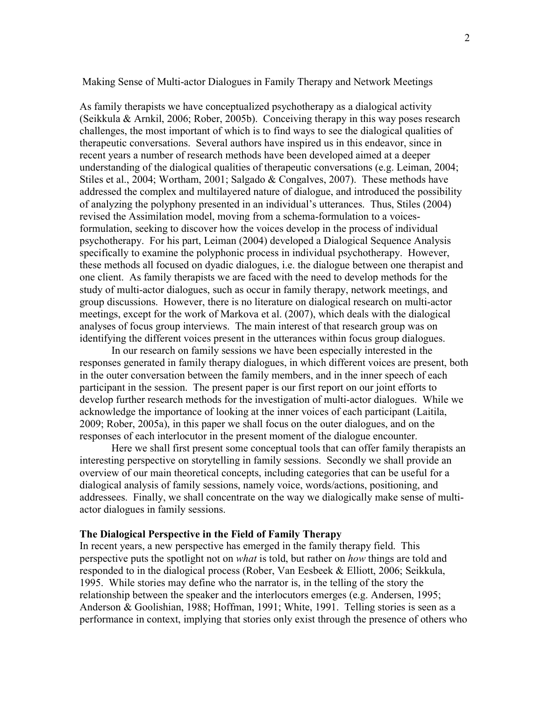Making Sense of Multi-actor Dialogues in Family Therapy and Network Meetings

As family therapists we have conceptualized psychotherapy as a dialogical activity (Seikkula & Arnkil, 2006; Rober, 2005b). Conceiving therapy in this way poses research challenges, the most important of which is to find ways to see the dialogical qualities of therapeutic conversations. Several authors have inspired us in this endeavor, since in recent years a number of research methods have been developed aimed at a deeper understanding of the dialogical qualities of therapeutic conversations (e.g. Leiman, 2004; Stiles et al., 2004; Wortham, 2001; Salgado & Congalves, 2007). These methods have addressed the complex and multilayered nature of dialogue, and introduced the possibility of analyzing the polyphony presented in an individual's utterances. Thus, Stiles (2004) revised the Assimilation model, moving from a schema-formulation to a voicesformulation, seeking to discover how the voices develop in the process of individual psychotherapy. For his part, Leiman (2004) developed a Dialogical Sequence Analysis specifically to examine the polyphonic process in individual psychotherapy. However, these methods all focused on dyadic dialogues, i.e. the dialogue between one therapist and one client. As family therapists we are faced with the need to develop methods for the study of multi-actor dialogues, such as occur in family therapy, network meetings, and group discussions. However, there is no literature on dialogical research on multi-actor meetings, except for the work of Markova et al. (2007), which deals with the dialogical analyses of focus group interviews. The main interest of that research group was on identifying the different voices present in the utterances within focus group dialogues.

In our research on family sessions we have been especially interested in the responses generated in family therapy dialogues, in which different voices are present, both in the outer conversation between the family members, and in the inner speech of each participant in the session. The present paper is our first report on our joint efforts to develop further research methods for the investigation of multi-actor dialogues. While we acknowledge the importance of looking at the inner voices of each participant (Laitila, 2009; Rober, 2005a), in this paper we shall focus on the outer dialogues, and on the responses of each interlocutor in the present moment of the dialogue encounter.

Here we shall first present some conceptual tools that can offer family therapists an interesting perspective on storytelling in family sessions. Secondly we shall provide an overview of our main theoretical concepts, including categories that can be useful for a dialogical analysis of family sessions, namely voice, words/actions, positioning, and addressees. Finally, we shall concentrate on the way we dialogically make sense of multiactor dialogues in family sessions.

## The Dialogical Perspective in the Field of Family Therapy

In recent years, a new perspective has emerged in the family therapy field. This perspective puts the spotlight not on *what* is told, but rather on *how* things are told and responded to in the dialogical process (Rober, Van Eesbeek & Elliott, 2006; Seikkula, 1995. While stories may define who the narrator is, in the telling of the story the relationship between the speaker and the interlocutors emerges (e.g. Andersen, 1995; Anderson & Goolishian, 1988; Hoffman, 1991; White, 1991. Telling stories is seen as a performance in context, implying that stories only exist through the presence of others who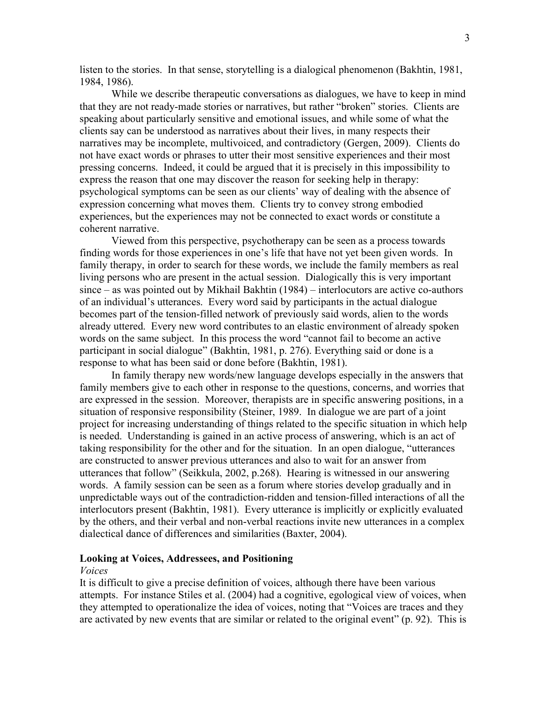listen to the stories. In that sense, storytelling is a dialogical phenomenon (Bakhtin, 1981, 1984, 1986).

While we describe therapeutic conversations as dialogues, we have to keep in mind that they are not ready-made stories or narratives, but rather "broken" stories. Clients are speaking about particularly sensitive and emotional issues, and while some of what the clients say can be understood as narratives about their lives, in many respects their narratives may be incomplete, multivoiced, and contradictory (Gergen, 2009). Clients do not have exact words or phrases to utter their most sensitive experiences and their most pressing concerns. Indeed, it could be argued that it is precisely in this impossibility to express the reason that one may discover the reason for seeking help in therapy: psychological symptoms can be seen as our clients' way of dealing with the absence of expression concerning what moves them. Clients try to convey strong embodied experiences, but the experiences may not be connected to exact words or constitute a coherent narrative.

Viewed from this perspective, psychotherapy can be seen as a process towards finding words for those experiences in one's life that have not yet been given words. In family therapy, in order to search for these words, we include the family members as real living persons who are present in the actual session. Dialogically this is very important since – as was pointed out by Mikhail Bakhtin (1984) – interlocutors are active co-authors of an individual's utterances. Every word said by participants in the actual dialogue becomes part of the tension-filled network of previously said words, alien to the words already uttered. Every new word contributes to an elastic environment of already spoken words on the same subject. In this process the word "cannot fail to become an active participant in social dialogue" (Bakhtin, 1981, p. 276). Everything said or done is a response to what has been said or done before (Bakhtin, 1981).

In family therapy new words/new language develops especially in the answers that family members give to each other in response to the questions, concerns, and worries that are expressed in the session. Moreover, therapists are in specific answering positions, in a situation of responsive responsibility (Steiner, 1989. In dialogue we are part of a joint project for increasing understanding of things related to the specific situation in which help is needed. Understanding is gained in an active process of answering, which is an act of taking responsibility for the other and for the situation. In an open dialogue, "utterances are constructed to answer previous utterances and also to wait for an answer from utterances that follow" (Seikkula, 2002, p.268). Hearing is witnessed in our answering words. A family session can be seen as a forum where stories develop gradually and in unpredictable ways out of the contradiction-ridden and tension-filled interactions of all the interlocutors present (Bakhtin, 1981). Every utterance is implicitly or explicitly evaluated by the others, and their verbal and non-verbal reactions invite new utterances in a complex dialectical dance of differences and similarities (Baxter, 2004).

#### Looking at Voices, Addressees, and Positioning

# Voices

It is difficult to give a precise definition of voices, although there have been various attempts. For instance Stiles et al. (2004) had a cognitive, egological view of voices, when they attempted to operationalize the idea of voices, noting that "Voices are traces and they are activated by new events that are similar or related to the original event" (p. 92). This is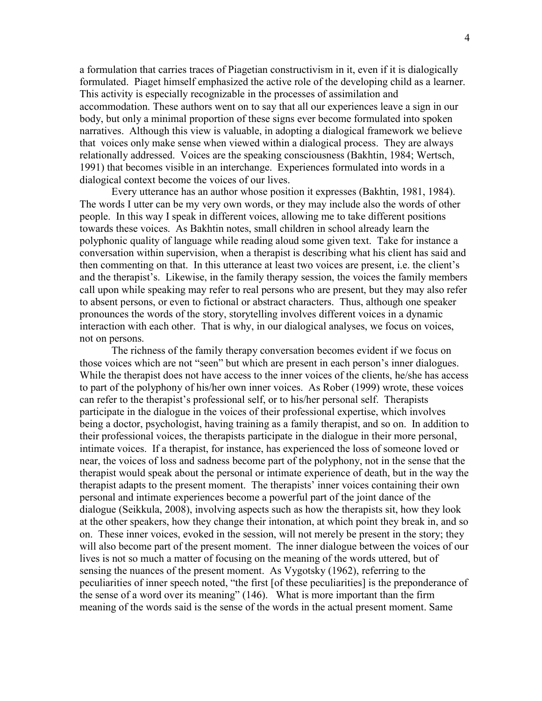a formulation that carries traces of Piagetian constructivism in it, even if it is dialogically formulated. Piaget himself emphasized the active role of the developing child as a learner. This activity is especially recognizable in the processes of assimilation and accommodation. These authors went on to say that all our experiences leave a sign in our body, but only a minimal proportion of these signs ever become formulated into spoken narratives. Although this view is valuable, in adopting a dialogical framework we believe that voices only make sense when viewed within a dialogical process. They are always relationally addressed. Voices are the speaking consciousness (Bakhtin, 1984; Wertsch, 1991) that becomes visible in an interchange. Experiences formulated into words in a dialogical context become the voices of our lives.

Every utterance has an author whose position it expresses (Bakhtin, 1981, 1984). The words I utter can be my very own words, or they may include also the words of other people. In this way I speak in different voices, allowing me to take different positions towards these voices. As Bakhtin notes, small children in school already learn the polyphonic quality of language while reading aloud some given text. Take for instance a conversation within supervision, when a therapist is describing what his client has said and then commenting on that. In this utterance at least two voices are present, i.e. the client's and the therapist's. Likewise, in the family therapy session, the voices the family members call upon while speaking may refer to real persons who are present, but they may also refer to absent persons, or even to fictional or abstract characters. Thus, although one speaker pronounces the words of the story, storytelling involves different voices in a dynamic interaction with each other. That is why, in our dialogical analyses, we focus on voices, not on persons.

The richness of the family therapy conversation becomes evident if we focus on those voices which are not "seen" but which are present in each person's inner dialogues. While the therapist does not have access to the inner voices of the clients, he/she has access to part of the polyphony of his/her own inner voices. As Rober (1999) wrote, these voices can refer to the therapist's professional self, or to his/her personal self. Therapists participate in the dialogue in the voices of their professional expertise, which involves being a doctor, psychologist, having training as a family therapist, and so on. In addition to their professional voices, the therapists participate in the dialogue in their more personal, intimate voices. If a therapist, for instance, has experienced the loss of someone loved or near, the voices of loss and sadness become part of the polyphony, not in the sense that the therapist would speak about the personal or intimate experience of death, but in the way the therapist adapts to the present moment. The therapists' inner voices containing their own personal and intimate experiences become a powerful part of the joint dance of the dialogue (Seikkula, 2008), involving aspects such as how the therapists sit, how they look at the other speakers, how they change their intonation, at which point they break in, and so on. These inner voices, evoked in the session, will not merely be present in the story; they will also become part of the present moment. The inner dialogue between the voices of our lives is not so much a matter of focusing on the meaning of the words uttered, but of sensing the nuances of the present moment. As Vygotsky (1962), referring to the peculiarities of inner speech noted, "the first [of these peculiarities] is the preponderance of the sense of a word over its meaning" (146). What is more important than the firm meaning of the words said is the sense of the words in the actual present moment. Same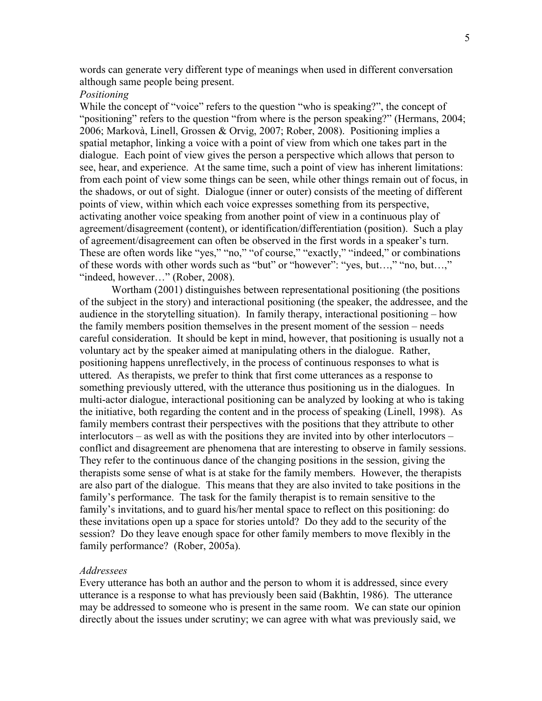words can generate very different type of meanings when used in different conversation although same people being present.

#### Positioning

While the concept of "voice" refers to the question "who is speaking?", the concept of "positioning" refers to the question "from where is the person speaking?" (Hermans, 2004; 2006; Markovà, Linell, Grossen & Orvig, 2007; Rober, 2008). Positioning implies a spatial metaphor, linking a voice with a point of view from which one takes part in the dialogue. Each point of view gives the person a perspective which allows that person to see, hear, and experience. At the same time, such a point of view has inherent limitations: from each point of view some things can be seen, while other things remain out of focus, in the shadows, or out of sight. Dialogue (inner or outer) consists of the meeting of different points of view, within which each voice expresses something from its perspective, activating another voice speaking from another point of view in a continuous play of agreement/disagreement (content), or identification/differentiation (position). Such a play of agreement/disagreement can often be observed in the first words in a speaker's turn. These are often words like "yes," "no," "of course," "exactly," "indeed," or combinations of these words with other words such as "but" or "however": "yes, but…," "no, but…," "indeed, however…" (Rober, 2008).

Wortham (2001) distinguishes between representational positioning (the positions of the subject in the story) and interactional positioning (the speaker, the addressee, and the audience in the storytelling situation). In family therapy, interactional positioning – how the family members position themselves in the present moment of the session – needs careful consideration. It should be kept in mind, however, that positioning is usually not a voluntary act by the speaker aimed at manipulating others in the dialogue. Rather, positioning happens unreflectively, in the process of continuous responses to what is uttered. As therapists, we prefer to think that first come utterances as a response to something previously uttered, with the utterance thus positioning us in the dialogues. In multi-actor dialogue, interactional positioning can be analyzed by looking at who is taking the initiative, both regarding the content and in the process of speaking (Linell, 1998). As family members contrast their perspectives with the positions that they attribute to other interlocutors – as well as with the positions they are invited into by other interlocutors – conflict and disagreement are phenomena that are interesting to observe in family sessions. They refer to the continuous dance of the changing positions in the session, giving the therapists some sense of what is at stake for the family members. However, the therapists are also part of the dialogue. This means that they are also invited to take positions in the family's performance. The task for the family therapist is to remain sensitive to the family's invitations, and to guard his/her mental space to reflect on this positioning: do these invitations open up a space for stories untold? Do they add to the security of the session? Do they leave enough space for other family members to move flexibly in the family performance? (Rober, 2005a).

# Addressees

Every utterance has both an author and the person to whom it is addressed, since every utterance is a response to what has previously been said (Bakhtin, 1986). The utterance may be addressed to someone who is present in the same room. We can state our opinion directly about the issues under scrutiny; we can agree with what was previously said, we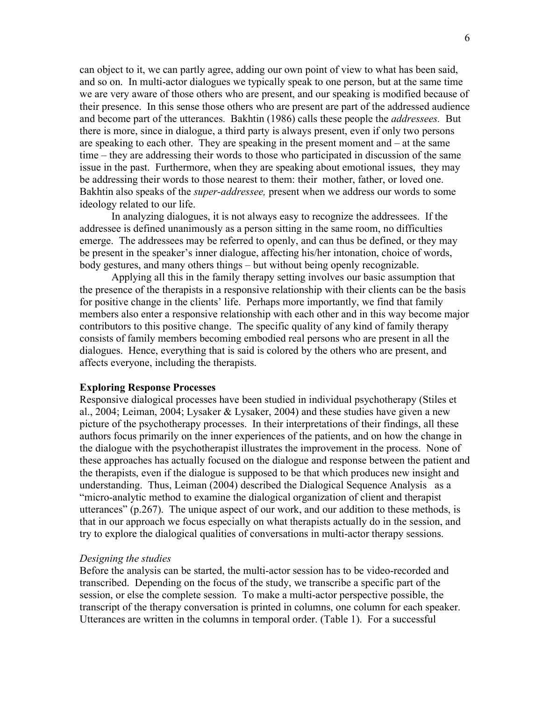can object to it, we can partly agree, adding our own point of view to what has been said, and so on. In multi-actor dialogues we typically speak to one person, but at the same time we are very aware of those others who are present, and our speaking is modified because of their presence. In this sense those others who are present are part of the addressed audience and become part of the utterances. Bakhtin (1986) calls these people the *addressees*. But there is more, since in dialogue, a third party is always present, even if only two persons are speaking to each other. They are speaking in the present moment and – at the same time – they are addressing their words to those who participated in discussion of the same issue in the past. Furthermore, when they are speaking about emotional issues, they may be addressing their words to those nearest to them: their mother, father, or loved one. Bakhtin also speaks of the super-addressee, present when we address our words to some ideology related to our life.

In analyzing dialogues, it is not always easy to recognize the addressees. If the addressee is defined unanimously as a person sitting in the same room, no difficulties emerge. The addressees may be referred to openly, and can thus be defined, or they may be present in the speaker's inner dialogue, affecting his/her intonation, choice of words, body gestures, and many others things – but without being openly recognizable.

Applying all this in the family therapy setting involves our basic assumption that the presence of the therapists in a responsive relationship with their clients can be the basis for positive change in the clients' life. Perhaps more importantly, we find that family members also enter a responsive relationship with each other and in this way become major contributors to this positive change. The specific quality of any kind of family therapy consists of family members becoming embodied real persons who are present in all the dialogues. Hence, everything that is said is colored by the others who are present, and affects everyone, including the therapists.

#### Exploring Response Processes

Responsive dialogical processes have been studied in individual psychotherapy (Stiles et al., 2004; Leiman, 2004; Lysaker & Lysaker, 2004) and these studies have given a new picture of the psychotherapy processes. In their interpretations of their findings, all these authors focus primarily on the inner experiences of the patients, and on how the change in the dialogue with the psychotherapist illustrates the improvement in the process. None of these approaches has actually focused on the dialogue and response between the patient and the therapists, even if the dialogue is supposed to be that which produces new insight and understanding. Thus, Leiman (2004) described the Dialogical Sequence Analysis as a "micro-analytic method to examine the dialogical organization of client and therapist utterances" (p.267). The unique aspect of our work, and our addition to these methods, is that in our approach we focus especially on what therapists actually do in the session, and try to explore the dialogical qualities of conversations in multi-actor therapy sessions.

#### Designing the studies

Before the analysis can be started, the multi-actor session has to be video-recorded and transcribed. Depending on the focus of the study, we transcribe a specific part of the session, or else the complete session. To make a multi-actor perspective possible, the transcript of the therapy conversation is printed in columns, one column for each speaker. Utterances are written in the columns in temporal order. (Table 1). For a successful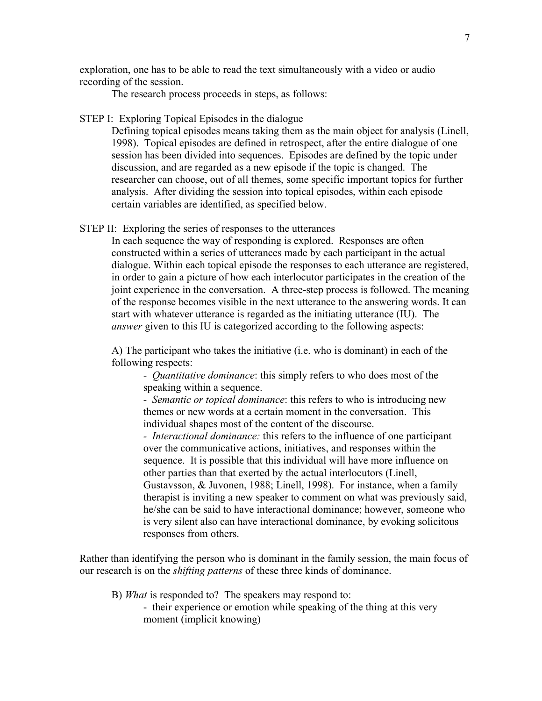exploration, one has to be able to read the text simultaneously with a video or audio recording of the session.

The research process proceeds in steps, as follows:

STEP I: Exploring Topical Episodes in the dialogue

Defining topical episodes means taking them as the main object for analysis (Linell, 1998). Topical episodes are defined in retrospect, after the entire dialogue of one session has been divided into sequences. Episodes are defined by the topic under discussion, and are regarded as a new episode if the topic is changed. The researcher can choose, out of all themes, some specific important topics for further analysis. After dividing the session into topical episodes, within each episode certain variables are identified, as specified below.

STEP II: Exploring the series of responses to the utterances

In each sequence the way of responding is explored. Responses are often constructed within a series of utterances made by each participant in the actual dialogue. Within each topical episode the responses to each utterance are registered, in order to gain a picture of how each interlocutor participates in the creation of the joint experience in the conversation. A three-step process is followed. The meaning of the response becomes visible in the next utterance to the answering words. It can start with whatever utterance is regarded as the initiating utterance (IU). The answer given to this IU is categorized according to the following aspects:

A) The participant who takes the initiative (i.e. who is dominant) in each of the following respects:

- *Quantitative dominance*: this simply refers to who does most of the speaking within a sequence.

- Semantic or topical dominance: this refers to who is introducing new themes or new words at a certain moment in the conversation. This individual shapes most of the content of the discourse.

- Interactional dominance: this refers to the influence of one participant over the communicative actions, initiatives, and responses within the sequence. It is possible that this individual will have more influence on other parties than that exerted by the actual interlocutors (Linell, Gustavsson, & Juvonen, 1988; Linell, 1998). For instance, when a family therapist is inviting a new speaker to comment on what was previously said, he/she can be said to have interactional dominance; however, someone who is very silent also can have interactional dominance, by evoking solicitous responses from others.

Rather than identifying the person who is dominant in the family session, the main focus of our research is on the *shifting patterns* of these three kinds of dominance.

B) What is responded to? The speakers may respond to:

- their experience or emotion while speaking of the thing at this very moment (implicit knowing)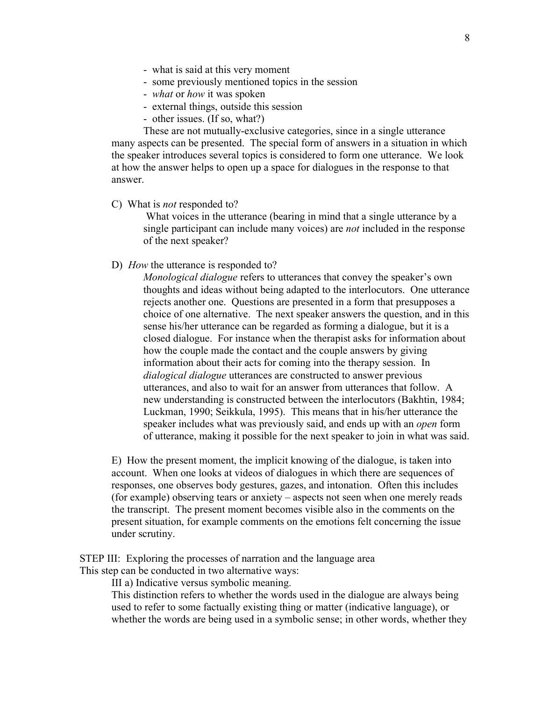- what is said at this very moment
- some previously mentioned topics in the session
- *what* or *how* it was spoken
- external things, outside this session
- other issues. (If so, what?)

These are not mutually-exclusive categories, since in a single utterance many aspects can be presented. The special form of answers in a situation in which the speaker introduces several topics is considered to form one utterance. We look at how the answer helps to open up a space for dialogues in the response to that answer.

C) What is not responded to?

 What voices in the utterance (bearing in mind that a single utterance by a single participant can include many voices) are not included in the response of the next speaker?

D) *How* the utterance is responded to?

Monological dialogue refers to utterances that convey the speaker's own thoughts and ideas without being adapted to the interlocutors. One utterance rejects another one. Questions are presented in a form that presupposes a choice of one alternative. The next speaker answers the question, and in this sense his/her utterance can be regarded as forming a dialogue, but it is a closed dialogue. For instance when the therapist asks for information about how the couple made the contact and the couple answers by giving information about their acts for coming into the therapy session. In dialogical dialogue utterances are constructed to answer previous utterances, and also to wait for an answer from utterances that follow. A new understanding is constructed between the interlocutors (Bakhtin, 1984; Luckman, 1990; Seikkula, 1995). This means that in his/her utterance the speaker includes what was previously said, and ends up with an open form of utterance, making it possible for the next speaker to join in what was said.

E) How the present moment, the implicit knowing of the dialogue, is taken into account. When one looks at videos of dialogues in which there are sequences of responses, one observes body gestures, gazes, and intonation. Often this includes (for example) observing tears or anxiety – aspects not seen when one merely reads the transcript. The present moment becomes visible also in the comments on the present situation, for example comments on the emotions felt concerning the issue under scrutiny.

STEP III: Exploring the processes of narration and the language area This step can be conducted in two alternative ways:

III a) Indicative versus symbolic meaning.

This distinction refers to whether the words used in the dialogue are always being used to refer to some factually existing thing or matter (indicative language), or whether the words are being used in a symbolic sense; in other words, whether they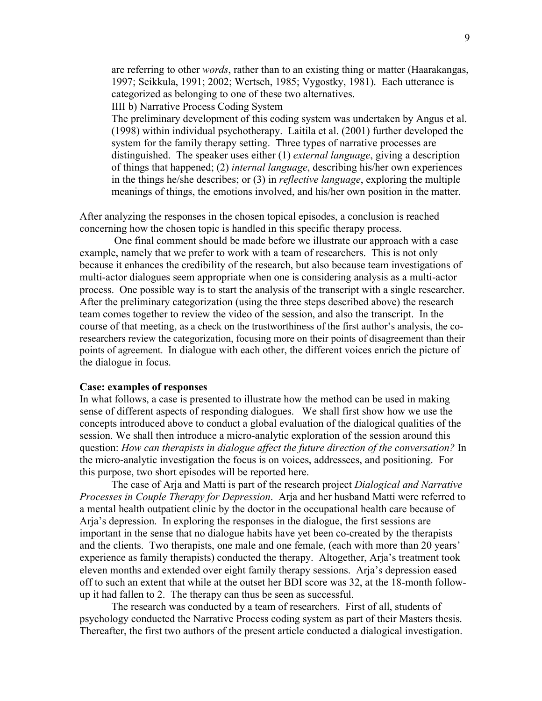are referring to other *words*, rather than to an existing thing or matter (Haarakangas, 1997; Seikkula, 1991; 2002; Wertsch, 1985; Vygostky, 1981). Each utterance is categorized as belonging to one of these two alternatives.

IIII b) Narrative Process Coding System

The preliminary development of this coding system was undertaken by Angus et al. (1998) within individual psychotherapy. Laitila et al. (2001) further developed the system for the family therapy setting. Three types of narrative processes are distinguished. The speaker uses either (1) *external language*, giving a description of things that happened; (2) internal language, describing his/her own experiences in the things he/she describes; or (3) in reflective language, exploring the multiple meanings of things, the emotions involved, and his/her own position in the matter.

After analyzing the responses in the chosen topical episodes, a conclusion is reached concerning how the chosen topic is handled in this specific therapy process.

 One final comment should be made before we illustrate our approach with a case example, namely that we prefer to work with a team of researchers. This is not only because it enhances the credibility of the research, but also because team investigations of multi-actor dialogues seem appropriate when one is considering analysis as a multi-actor process. One possible way is to start the analysis of the transcript with a single researcher. After the preliminary categorization (using the three steps described above) the research team comes together to review the video of the session, and also the transcript. In the course of that meeting, as a check on the trustworthiness of the first author's analysis, the coresearchers review the categorization, focusing more on their points of disagreement than their points of agreement. In dialogue with each other, the different voices enrich the picture of the dialogue in focus.

#### Case: examples of responses

In what follows, a case is presented to illustrate how the method can be used in making sense of different aspects of responding dialogues. We shall first show how we use the concepts introduced above to conduct a global evaluation of the dialogical qualities of the session. We shall then introduce a micro-analytic exploration of the session around this question: How can therapists in dialogue affect the future direction of the conversation? In the micro-analytic investigation the focus is on voices, addressees, and positioning. For this purpose, two short episodes will be reported here.

The case of Arja and Matti is part of the research project Dialogical and Narrative Processes in Couple Therapy for Depression. Arja and her husband Matti were referred to a mental health outpatient clinic by the doctor in the occupational health care because of Arja's depression. In exploring the responses in the dialogue, the first sessions are important in the sense that no dialogue habits have yet been co-created by the therapists and the clients. Two therapists, one male and one female, (each with more than 20 years' experience as family therapists) conducted the therapy. Altogether, Arja's treatment took eleven months and extended over eight family therapy sessions. Arja's depression eased off to such an extent that while at the outset her BDI score was 32, at the 18-month followup it had fallen to 2. The therapy can thus be seen as successful.

The research was conducted by a team of researchers. First of all, students of psychology conducted the Narrative Process coding system as part of their Masters thesis. Thereafter, the first two authors of the present article conducted a dialogical investigation.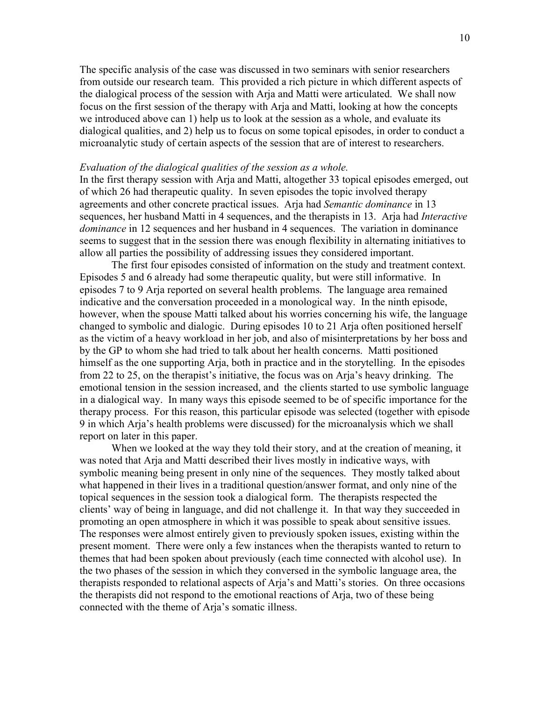The specific analysis of the case was discussed in two seminars with senior researchers from outside our research team. This provided a rich picture in which different aspects of the dialogical process of the session with Arja and Matti were articulated. We shall now focus on the first session of the therapy with Arja and Matti, looking at how the concepts we introduced above can 1) help us to look at the session as a whole, and evaluate its dialogical qualities, and 2) help us to focus on some topical episodes, in order to conduct a microanalytic study of certain aspects of the session that are of interest to researchers.

# Evaluation of the dialogical qualities of the session as a whole.

In the first therapy session with Arja and Matti, altogether 33 topical episodes emerged, out of which 26 had therapeutic quality. In seven episodes the topic involved therapy agreements and other concrete practical issues. Arja had Semantic dominance in 13 sequences, her husband Matti in 4 sequences, and the therapists in 13. Arja had *Interactive* dominance in 12 sequences and her husband in 4 sequences. The variation in dominance seems to suggest that in the session there was enough flexibility in alternating initiatives to allow all parties the possibility of addressing issues they considered important.

The first four episodes consisted of information on the study and treatment context. Episodes 5 and 6 already had some therapeutic quality, but were still informative. In episodes 7 to 9 Arja reported on several health problems. The language area remained indicative and the conversation proceeded in a monological way. In the ninth episode, however, when the spouse Matti talked about his worries concerning his wife, the language changed to symbolic and dialogic. During episodes 10 to 21 Arja often positioned herself as the victim of a heavy workload in her job, and also of misinterpretations by her boss and by the GP to whom she had tried to talk about her health concerns. Matti positioned himself as the one supporting Arja, both in practice and in the storytelling. In the episodes from 22 to 25, on the therapist's initiative, the focus was on Arja's heavy drinking. The emotional tension in the session increased, and the clients started to use symbolic language in a dialogical way. In many ways this episode seemed to be of specific importance for the therapy process. For this reason, this particular episode was selected (together with episode 9 in which Arja's health problems were discussed) for the microanalysis which we shall report on later in this paper.

When we looked at the way they told their story, and at the creation of meaning, it was noted that Arja and Matti described their lives mostly in indicative ways, with symbolic meaning being present in only nine of the sequences. They mostly talked about what happened in their lives in a traditional question/answer format, and only nine of the topical sequences in the session took a dialogical form. The therapists respected the clients' way of being in language, and did not challenge it. In that way they succeeded in promoting an open atmosphere in which it was possible to speak about sensitive issues. The responses were almost entirely given to previously spoken issues, existing within the present moment. There were only a few instances when the therapists wanted to return to themes that had been spoken about previously (each time connected with alcohol use). In the two phases of the session in which they conversed in the symbolic language area, the therapists responded to relational aspects of Arja's and Matti's stories. On three occasions the therapists did not respond to the emotional reactions of Arja, two of these being connected with the theme of Arja's somatic illness.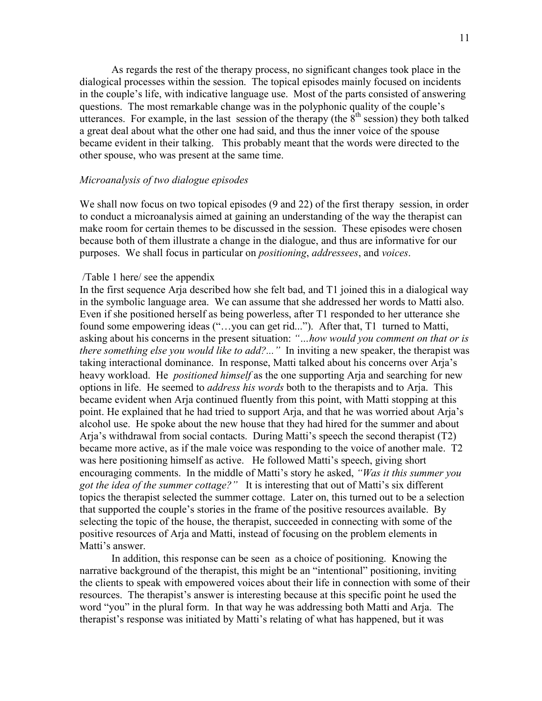As regards the rest of the therapy process, no significant changes took place in the dialogical processes within the session. The topical episodes mainly focused on incidents in the couple's life, with indicative language use. Most of the parts consisted of answering questions. The most remarkable change was in the polyphonic quality of the couple's utterances. For example, in the last session of the therapy (the  $8<sup>th</sup>$  session) they both talked a great deal about what the other one had said, and thus the inner voice of the spouse became evident in their talking. This probably meant that the words were directed to the other spouse, who was present at the same time.

# Microanalysis of two dialogue episodes

We shall now focus on two topical episodes (9 and 22) of the first therapy session, in order to conduct a microanalysis aimed at gaining an understanding of the way the therapist can make room for certain themes to be discussed in the session. These episodes were chosen because both of them illustrate a change in the dialogue, and thus are informative for our purposes. We shall focus in particular on *positioning*, *addressees*, and *voices*.

# /Table 1 here/ see the appendix

In the first sequence Arja described how she felt bad, and T1 joined this in a dialogical way in the symbolic language area. We can assume that she addressed her words to Matti also. Even if she positioned herself as being powerless, after T1 responded to her utterance she found some empowering ideas ("...you can get rid..."). After that, T1 turned to Matti, asking about his concerns in the present situation: "…how would you comment on that or is there something else you would like to add?..." In inviting a new speaker, the therapist was taking interactional dominance. In response, Matti talked about his concerns over Arja's heavy workload. He *positioned himself* as the one supporting Arja and searching for new options in life. He seemed to *address his words* both to the therapists and to Arja. This became evident when Arja continued fluently from this point, with Matti stopping at this point. He explained that he had tried to support Arja, and that he was worried about Arja's alcohol use. He spoke about the new house that they had hired for the summer and about Arja's withdrawal from social contacts. During Matti's speech the second therapist (T2) became more active, as if the male voice was responding to the voice of another male. T2 was here positioning himself as active. He followed Matti's speech, giving short encouraging comments. In the middle of Matti's story he asked, "Was it this summer you got the idea of the summer cottage?" It is interesting that out of Matti's six different topics the therapist selected the summer cottage. Later on, this turned out to be a selection that supported the couple's stories in the frame of the positive resources available. By selecting the topic of the house, the therapist, succeeded in connecting with some of the positive resources of Arja and Matti, instead of focusing on the problem elements in Matti's answer.

In addition, this response can be seen as a choice of positioning. Knowing the narrative background of the therapist, this might be an "intentional" positioning, inviting the clients to speak with empowered voices about their life in connection with some of their resources. The therapist's answer is interesting because at this specific point he used the word "you" in the plural form. In that way he was addressing both Matti and Arja. The therapist's response was initiated by Matti's relating of what has happened, but it was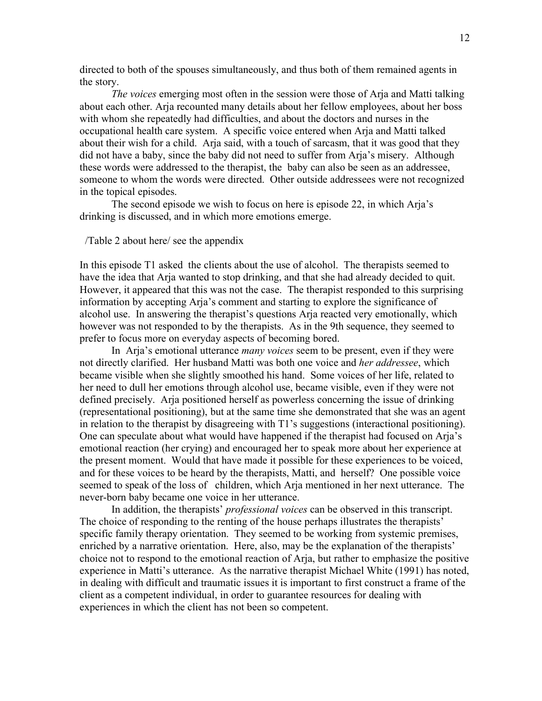directed to both of the spouses simultaneously, and thus both of them remained agents in the story.

The voices emerging most often in the session were those of Arja and Matti talking about each other. Arja recounted many details about her fellow employees, about her boss with whom she repeatedly had difficulties, and about the doctors and nurses in the occupational health care system. A specific voice entered when Arja and Matti talked about their wish for a child. Arja said, with a touch of sarcasm, that it was good that they did not have a baby, since the baby did not need to suffer from Arja's misery. Although these words were addressed to the therapist, the baby can also be seen as an addressee, someone to whom the words were directed. Other outside addressees were not recognized in the topical episodes.

 The second episode we wish to focus on here is episode 22, in which Arja's drinking is discussed, and in which more emotions emerge.

/Table 2 about here/ see the appendix

In this episode T1 asked the clients about the use of alcohol. The therapists seemed to have the idea that Arja wanted to stop drinking, and that she had already decided to quit. However, it appeared that this was not the case. The therapist responded to this surprising information by accepting Arja's comment and starting to explore the significance of alcohol use. In answering the therapist's questions Arja reacted very emotionally, which however was not responded to by the therapists. As in the 9th sequence, they seemed to prefer to focus more on everyday aspects of becoming bored.

In Arja's emotional utterance *many voices* seem to be present, even if they were not directly clarified. Her husband Matti was both one voice and *her addressee*, which became visible when she slightly smoothed his hand. Some voices of her life, related to her need to dull her emotions through alcohol use, became visible, even if they were not defined precisely. Arja positioned herself as powerless concerning the issue of drinking (representational positioning), but at the same time she demonstrated that she was an agent in relation to the therapist by disagreeing with T1's suggestions (interactional positioning). One can speculate about what would have happened if the therapist had focused on Arja's emotional reaction (her crying) and encouraged her to speak more about her experience at the present moment. Would that have made it possible for these experiences to be voiced, and for these voices to be heard by the therapists, Matti, and herself? One possible voice seemed to speak of the loss of children, which Arja mentioned in her next utterance. The never-born baby became one voice in her utterance.

In addition, the therapists' *professional voices* can be observed in this transcript. The choice of responding to the renting of the house perhaps illustrates the therapists' specific family therapy orientation. They seemed to be working from systemic premises, enriched by a narrative orientation. Here, also, may be the explanation of the therapists' choice not to respond to the emotional reaction of Arja, but rather to emphasize the positive experience in Matti's utterance. As the narrative therapist Michael White (1991) has noted, in dealing with difficult and traumatic issues it is important to first construct a frame of the client as a competent individual, in order to guarantee resources for dealing with experiences in which the client has not been so competent.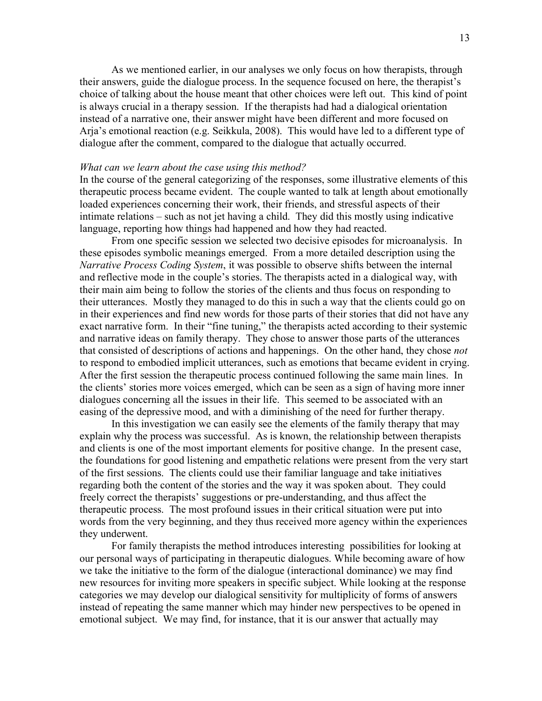As we mentioned earlier, in our analyses we only focus on how therapists, through their answers, guide the dialogue process. In the sequence focused on here, the therapist's choice of talking about the house meant that other choices were left out. This kind of point is always crucial in a therapy session. If the therapists had had a dialogical orientation instead of a narrative one, their answer might have been different and more focused on Arja's emotional reaction (e.g. Seikkula, 2008). This would have led to a different type of dialogue after the comment, compared to the dialogue that actually occurred.

#### What can we learn about the case using this method?

In the course of the general categorizing of the responses, some illustrative elements of this therapeutic process became evident. The couple wanted to talk at length about emotionally loaded experiences concerning their work, their friends, and stressful aspects of their intimate relations – such as not jet having a child. They did this mostly using indicative language, reporting how things had happened and how they had reacted.

From one specific session we selected two decisive episodes for microanalysis. In these episodes symbolic meanings emerged. From a more detailed description using the Narrative Process Coding System, it was possible to observe shifts between the internal and reflective mode in the couple's stories. The therapists acted in a dialogical way, with their main aim being to follow the stories of the clients and thus focus on responding to their utterances. Mostly they managed to do this in such a way that the clients could go on in their experiences and find new words for those parts of their stories that did not have any exact narrative form. In their "fine tuning," the therapists acted according to their systemic and narrative ideas on family therapy. They chose to answer those parts of the utterances that consisted of descriptions of actions and happenings. On the other hand, they chose not to respond to embodied implicit utterances, such as emotions that became evident in crying. After the first session the therapeutic process continued following the same main lines. In the clients' stories more voices emerged, which can be seen as a sign of having more inner dialogues concerning all the issues in their life. This seemed to be associated with an easing of the depressive mood, and with a diminishing of the need for further therapy.

In this investigation we can easily see the elements of the family therapy that may explain why the process was successful. As is known, the relationship between therapists and clients is one of the most important elements for positive change. In the present case, the foundations for good listening and empathetic relations were present from the very start of the first sessions. The clients could use their familiar language and take initiatives regarding both the content of the stories and the way it was spoken about. They could freely correct the therapists' suggestions or pre-understanding, and thus affect the therapeutic process. The most profound issues in their critical situation were put into words from the very beginning, and they thus received more agency within the experiences they underwent.

For family therapists the method introduces interesting possibilities for looking at our personal ways of participating in therapeutic dialogues. While becoming aware of how we take the initiative to the form of the dialogue (interactional dominance) we may find new resources for inviting more speakers in specific subject. While looking at the response categories we may develop our dialogical sensitivity for multiplicity of forms of answers instead of repeating the same manner which may hinder new perspectives to be opened in emotional subject. We may find, for instance, that it is our answer that actually may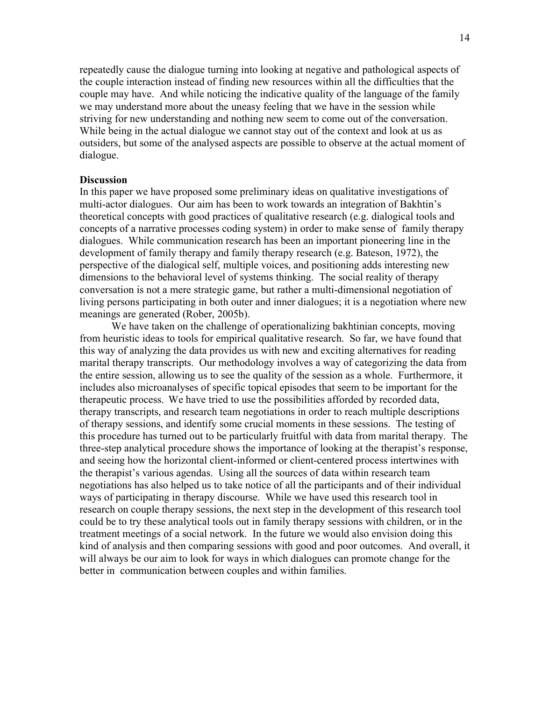repeatedly cause the dialogue turning into looking at negative and pathological aspects of the couple interaction instead of finding new resources within all the difficulties that the couple may have. And while noticing the indicative quality of the language of the family we may understand more about the uneasy feeling that we have in the session while striving for new understanding and nothing new seem to come out of the conversation. While being in the actual dialogue we cannot stay out of the context and look at us as outsiders, but some of the analysed aspects are possible to observe at the actual moment of dialogue.

# **Discussion**

In this paper we have proposed some preliminary ideas on qualitative investigations of multi-actor dialogues. Our aim has been to work towards an integration of Bakhtin's theoretical concepts with good practices of qualitative research (e.g. dialogical tools and concepts of a narrative processes coding system) in order to make sense of family therapy dialogues. While communication research has been an important pioneering line in the development of family therapy and family therapy research (e.g. Bateson, 1972), the perspective of the dialogical self, multiple voices, and positioning adds interesting new dimensions to the behavioral level of systems thinking. The social reality of therapy conversation is not a mere strategic game, but rather a multi-dimensional negotiation of living persons participating in both outer and inner dialogues; it is a negotiation where new meanings are generated (Rober, 2005b).

We have taken on the challenge of operationalizing bakhtinian concepts, moving from heuristic ideas to tools for empirical qualitative research. So far, we have found that this way of analyzing the data provides us with new and exciting alternatives for reading marital therapy transcripts. Our methodology involves a way of categorizing the data from the entire session, allowing us to see the quality of the session as a whole. Furthermore, it includes also microanalyses of specific topical episodes that seem to be important for the therapeutic process. We have tried to use the possibilities afforded by recorded data, therapy transcripts, and research team negotiations in order to reach multiple descriptions of therapy sessions, and identify some crucial moments in these sessions. The testing of this procedure has turned out to be particularly fruitful with data from marital therapy. The three-step analytical procedure shows the importance of looking at the therapist's response, and seeing how the horizontal client-informed or client-centered process intertwines with the therapist's various agendas. Using all the sources of data within research team negotiations has also helped us to take notice of all the participants and of their individual ways of participating in therapy discourse. While we have used this research tool in research on couple therapy sessions, the next step in the development of this research tool could be to try these analytical tools out in family therapy sessions with children, or in the treatment meetings of a social network. In the future we would also envision doing this kind of analysis and then comparing sessions with good and poor outcomes. And overall, it will always be our aim to look for ways in which dialogues can promote change for the better in communication between couples and within families.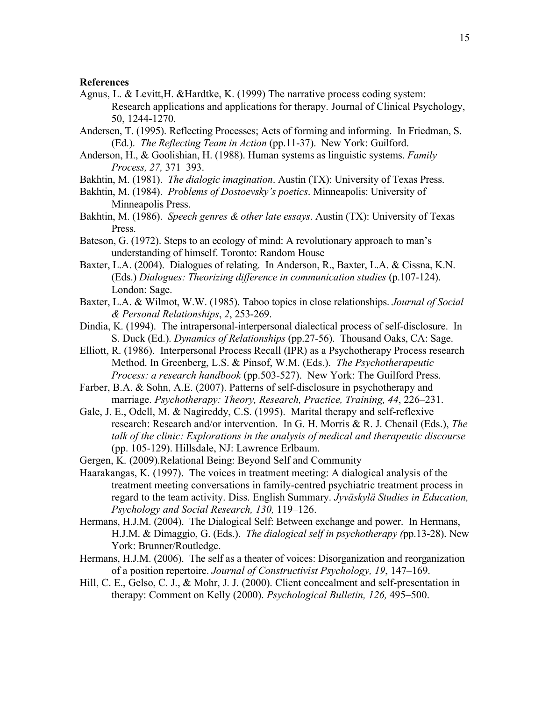# **References**

- Agnus, L. & Levitt,H. &Hardtke, K. (1999) The narrative process coding system: Research applications and applications for therapy. Journal of Clinical Psychology, 50, 1244-1270.
- Andersen, T. (1995). Reflecting Processes; Acts of forming and informing. In Friedman, S. (Ed.). The Reflecting Team in Action (pp.11-37). New York: Guilford.
- Anderson, H., & Goolishian, H. (1988). Human systems as linguistic systems. Family Process, 27, 371–393.
- Bakhtin, M. (1981). The dialogic imagination. Austin (TX): University of Texas Press.
- Bakhtin, M. (1984). *Problems of Dostoevsky's poetics*. Minneapolis: University of Minneapolis Press.
- Bakhtin, M. (1986). Speech genres & other late essays. Austin (TX): University of Texas Press.
- Bateson, G. (1972). Steps to an ecology of mind: A revolutionary approach to man's understanding of himself. Toronto: Random House
- Baxter, L.A. (2004). Dialogues of relating. In Anderson, R., Baxter, L.A. & Cissna, K.N. (Eds.) Dialogues: Theorizing difference in communication studies (p.107-124). London: Sage.
- Baxter, L.A. & Wilmot, W.W. (1985). Taboo topics in close relationships. Journal of Social & Personal Relationships, 2, 253-269.
- Dindia, K. (1994). The intrapersonal-interpersonal dialectical process of self-disclosure. In S. Duck (Ed.). Dynamics of Relationships (pp.27-56). Thousand Oaks, CA: Sage.
- Elliott, R. (1986). Interpersonal Process Recall (IPR) as a Psychotherapy Process research Method. In Greenberg, L.S. & Pinsof, W.M. (Eds.). The Psychotherapeutic Process: a research handbook (pp.503-527). New York: The Guilford Press.
- Farber, B.A. & Sohn, A.E. (2007). Patterns of self-disclosure in psychotherapy and marriage. Psychotherapy: Theory, Research, Practice, Training, 44, 226–231.
- Gale, J. E., Odell, M. & Nagireddy, C.S. (1995). Marital therapy and self-reflexive research: Research and/or intervention. In G. H. Morris & R. J. Chenail (Eds.), The talk of the clinic: Explorations in the analysis of medical and therapeutic discourse (pp. 105-129). Hillsdale, NJ: Lawrence Erlbaum.
- Gergen, K. (2009).Relational Being: Beyond Self and Community
- Haarakangas, K. (1997). The voices in treatment meeting: A dialogical analysis of the treatment meeting conversations in family-centred psychiatric treatment process in regard to the team activity. Diss. English Summary. Jyväskylä Studies in Education, Psychology and Social Research, 130, 119–126.
- Hermans, H.J.M. (2004). The Dialogical Self: Between exchange and power. In Hermans, H.J.M. & Dimaggio, G. (Eds.). The dialogical self in psychotherapy (pp.13-28). New York: Brunner/Routledge.
- Hermans, H.J.M. (2006). The self as a theater of voices: Disorganization and reorganization of a position repertoire. Journal of Constructivist Psychology, 19, 147–169.
- Hill, C. E., Gelso, C. J., & Mohr, J. J. (2000). Client concealment and self-presentation in therapy: Comment on Kelly (2000). Psychological Bulletin, 126, 495–500.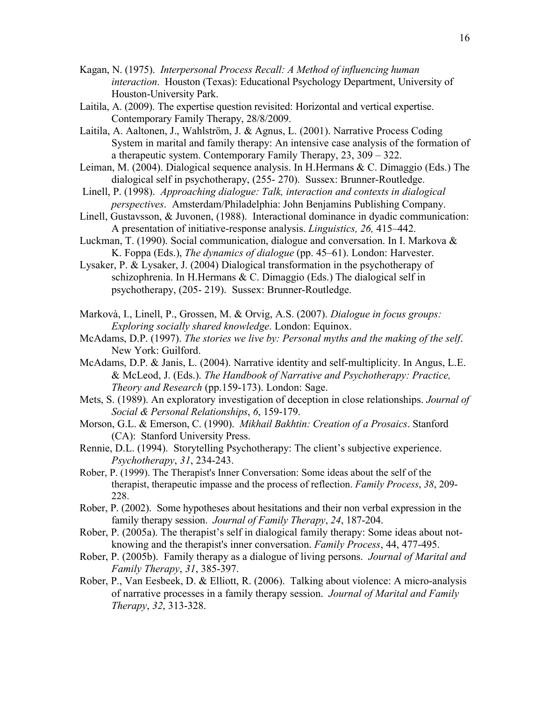- Kagan, N. (1975). Interpersonal Process Recall: A Method of influencing human interaction. Houston (Texas): Educational Psychology Department, University of Houston-University Park.
- Laitila, A. (2009). The expertise question revisited: Horizontal and vertical expertise. Contemporary Family Therapy, 28/8/2009.
- Laitila, A. Aaltonen, J., Wahlström, J. & Agnus, L. (2001). Narrative Process Coding System in marital and family therapy: An intensive case analysis of the formation of a therapeutic system. Contemporary Family Therapy, 23, 309 – 322.
- Leiman, M. (2004). Dialogical sequence analysis. In H.Hermans & C. Dimaggio (Eds.) The dialogical self in psychotherapy, (255- 270). Sussex: Brunner-Routledge.
- Linell, P. (1998). Approaching dialogue: Talk, interaction and contexts in dialogical perspectives. Amsterdam/Philadelphia: John Benjamins Publishing Company.
- Linell, Gustavsson, & Juvonen, (1988). Interactional dominance in dyadic communication: A presentation of initiative-response analysis. Linguistics, 26, 415–442.
- Luckman, T. (1990). Social communication, dialogue and conversation. In I. Markova & K. Foppa (Eds.), The dynamics of dialogue (pp. 45–61). London: Harvester.
- Lysaker, P. & Lysaker, J. (2004) Dialogical transformation in the psychotherapy of schizophrenia. In H.Hermans & C. Dimaggio (Eds.) The dialogical self in psychotherapy, (205- 219). Sussex: Brunner-Routledge.
- Markovà, I., Linell, P., Grossen, M. & Orvig, A.S. (2007). Dialogue in focus groups: Exploring socially shared knowledge. London: Equinox.
- McAdams, D.P. (1997). The stories we live by: Personal myths and the making of the self. New York: Guilford.
- McAdams, D.P. & Janis, L. (2004). Narrative identity and self-multiplicity. In Angus, L.E. & McLeod, J. (Eds.). The Handbook of Narrative and Psychotherapy: Practice, Theory and Research (pp.159-173). London: Sage.
- Mets, S. (1989). An exploratory investigation of deception in close relationships. *Journal of* Social & Personal Relationships, 6, 159-179.
- Morson, G.L. & Emerson, C. (1990). Mikhail Bakhtin: Creation of a Prosaics. Stanford (CA): Stanford University Press.
- Rennie, D.L. (1994). Storytelling Psychotherapy: The client's subjective experience. Psychotherapy, 31, 234-243.
- Rober, P. (1999). The Therapist's Inner Conversation: Some ideas about the self of the therapist, therapeutic impasse and the process of reflection. Family Process, 38, 209- 228.
- Rober, P. (2002). Some hypotheses about hesitations and their non verbal expression in the family therapy session. Journal of Family Therapy, 24, 187-204.
- Rober, P. (2005a). The therapist's self in dialogical family therapy: Some ideas about notknowing and the therapist's inner conversation. Family Process, 44, 477-495.
- Rober, P. (2005b). Family therapy as a dialogue of living persons. Journal of Marital and Family Therapy, 31, 385-397.
- Rober, P., Van Eesbeek, D. & Elliott, R. (2006). Talking about violence: A micro-analysis of narrative processes in a family therapy session. Journal of Marital and Family Therapy, 32, 313-328.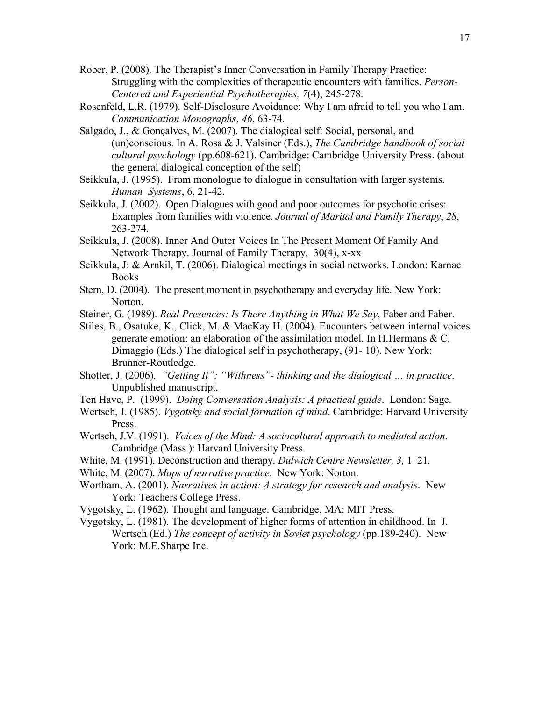- Rober, P. (2008). The Therapist's Inner Conversation in Family Therapy Practice: Struggling with the complexities of therapeutic encounters with families. Person-Centered and Experiential Psychotherapies, 7(4), 245-278.
- Rosenfeld, L.R. (1979). Self-Disclosure Avoidance: Why I am afraid to tell you who I am. Communication Monographs, 46, 63-74.
- Salgado, J., & Gonçalves, M. (2007). The dialogical self: Social, personal, and (un)conscious. In A. Rosa & J. Valsiner (Eds.), The Cambridge handbook of social cultural psychology (pp.608-621). Cambridge: Cambridge University Press. (about the general dialogical conception of the self)
- Seikkula, J. (1995). From monologue to dialogue in consultation with larger systems. Human Systems, 6, 21-42.
- Seikkula, J. (2002). Open Dialogues with good and poor outcomes for psychotic crises: Examples from families with violence. Journal of Marital and Family Therapy, 28, 263-274.
- Seikkula, J. (2008). Inner And Outer Voices In The Present Moment Of Family And Network Therapy. Journal of Family Therapy, 30(4), x-xx
- Seikkula, J: & Arnkil, T. (2006). Dialogical meetings in social networks. London: Karnac Books
- Stern, D. (2004). The present moment in psychotherapy and everyday life. New York: Norton.
- Steiner, G. (1989). Real Presences: Is There Anything in What We Say, Faber and Faber.
- Stiles, B., Osatuke, K., Click, M. & MacKay H. (2004). Encounters between internal voices generate emotion: an elaboration of the assimilation model. In H.Hermans & C. Dimaggio (Eds.) The dialogical self in psychotherapy, (91- 10). New York: Brunner-Routledge.
- Shotter, J. (2006). "Getting It": "Withness"- thinking and the dialogical ... in practice. Unpublished manuscript.
- Ten Have, P. (1999). Doing Conversation Analysis: A practical guide. London: Sage.
- Wertsch, J. (1985). Vygotsky and social formation of mind. Cambridge: Harvard University Press.
- Wertsch, J.V. (1991). *Voices of the Mind: A sociocultural approach to mediated action.* Cambridge (Mass.): Harvard University Press.
- White, M. (1991). Deconstruction and therapy. Dulwich Centre Newsletter, 3, 1–21.
- White, M. (2007). Maps of narrative practice. New York: Norton.
- Wortham, A. (2001). Narratives in action: A strategy for research and analysis. New York: Teachers College Press.
- Vygotsky, L. (1962). Thought and language. Cambridge, MA: MIT Press.
- Vygotsky, L. (1981). The development of higher forms of attention in childhood. In J. Wertsch (Ed.) The concept of activity in Soviet psychology (pp.189-240). New York: M.E.Sharpe Inc.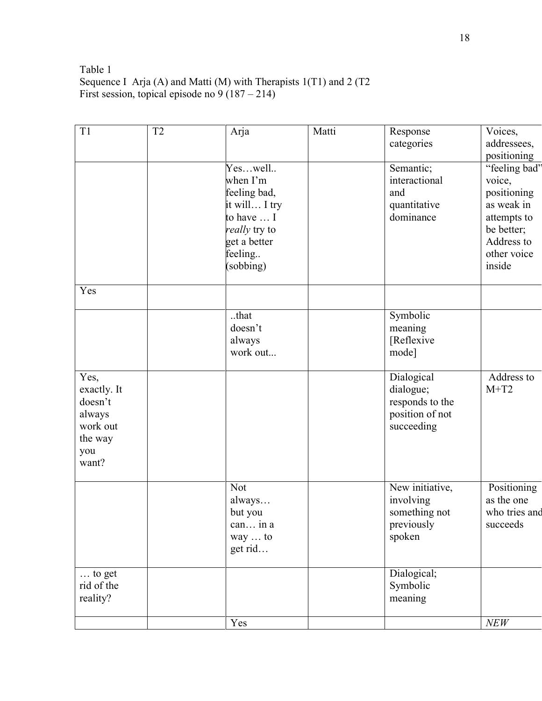# Table 1 Sequence I Arja (A) and Matti (M) with Therapists 1(T1) and 2 (T2 First session, topical episode no 9 (187 – 214)

| T1                                                                              | T <sub>2</sub> | Arja                                                                                                                        | Matti | Response<br>categories                                                      | Voices,<br>addressees,<br>positioning                                                                                    |
|---------------------------------------------------------------------------------|----------------|-----------------------------------------------------------------------------------------------------------------------------|-------|-----------------------------------------------------------------------------|--------------------------------------------------------------------------------------------------------------------------|
|                                                                                 |                | Yeswell<br>when I'm<br>feeling bad,<br>it will I try<br>to have  I<br>really try to<br>get a better<br>feeling<br>(sobbing) |       | Semantic;<br>interactional<br>and<br>quantitative<br>dominance              | "feeling bad"<br>voice,<br>positioning<br>as weak in<br>attempts to<br>be better;<br>Address to<br>other voice<br>inside |
| Yes                                                                             |                |                                                                                                                             |       |                                                                             |                                                                                                                          |
|                                                                                 |                | $.$ that<br>doesn't<br>always<br>work out                                                                                   |       | Symbolic<br>meaning<br>[Reflexive<br>mode]                                  |                                                                                                                          |
| Yes,<br>exactly. It<br>doesn't<br>always<br>work out<br>the way<br>you<br>want? |                |                                                                                                                             |       | Dialogical<br>dialogue;<br>responds to the<br>position of not<br>succeeding | Address to<br>$M+T2$                                                                                                     |
|                                                                                 |                | <b>Not</b><br>always<br>but you<br>can in a<br>way  to<br>get rid                                                           |       | New initiative,<br>involving<br>something not<br>previously<br>spoken       | Positioning<br>as the one<br>who tries and<br>succeeds                                                                   |
| $\ldots$ to get<br>rid of the<br>reality?                                       |                |                                                                                                                             |       | Dialogical;<br>Symbolic<br>meaning                                          |                                                                                                                          |
|                                                                                 |                | Yes                                                                                                                         |       |                                                                             | NEW                                                                                                                      |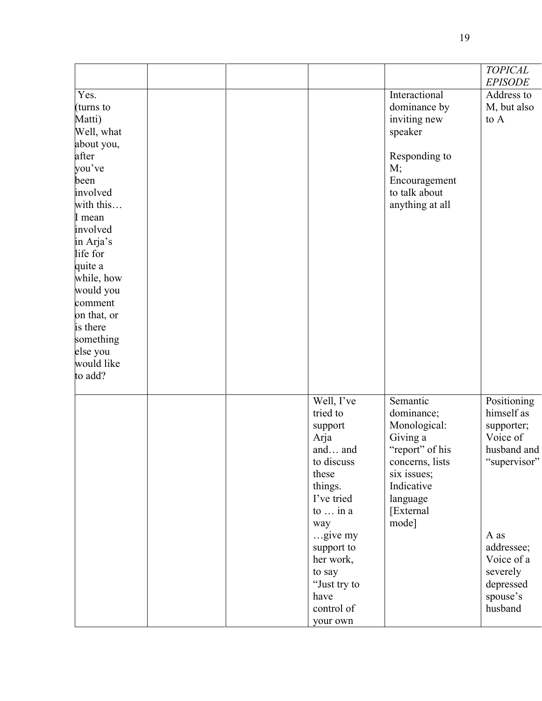|             |  |                  |                 | <b>TOPICAL</b> |
|-------------|--|------------------|-----------------|----------------|
|             |  |                  |                 | <b>EPISODE</b> |
| Yes.        |  |                  | Interactional   | Address to     |
| (turns to   |  |                  | dominance by    | M, but also    |
| Matti)      |  |                  | inviting new    | to A           |
| Well, what  |  |                  | speaker         |                |
| about you,  |  |                  |                 |                |
| after       |  |                  | Responding to   |                |
| you've      |  |                  | $M$ ;           |                |
| been        |  |                  | Encouragement   |                |
| involved    |  |                  | to talk about   |                |
| with this   |  |                  | anything at all |                |
| I mean      |  |                  |                 |                |
| involved    |  |                  |                 |                |
| in Arja's   |  |                  |                 |                |
| life for    |  |                  |                 |                |
| quite a     |  |                  |                 |                |
| while, how  |  |                  |                 |                |
| would you   |  |                  |                 |                |
| comment     |  |                  |                 |                |
| on that, or |  |                  |                 |                |
| is there    |  |                  |                 |                |
| something   |  |                  |                 |                |
| else you    |  |                  |                 |                |
| would like  |  |                  |                 |                |
| to add?     |  |                  |                 |                |
|             |  |                  |                 |                |
|             |  | Well, I've       | Semantic        | Positioning    |
|             |  | tried to         | dominance;      | himself as     |
|             |  | support          | Monological:    | supporter;     |
|             |  | Arja             | Giving a        | Voice of       |
|             |  | and and          | "report" of his | husband and    |
|             |  | to discuss       | concerns, lists | "supervisor"   |
|             |  | these            | six issues;     |                |
|             |  | things.          | Indicative      |                |
|             |  | I've tried       | language        |                |
|             |  | to $\ldots$ in a | [External]      |                |
|             |  | way              | mode]           |                |
|             |  | $\ldots$ give my |                 | A as           |
|             |  | support to       |                 | addressee;     |
|             |  | her work,        |                 | Voice of a     |
|             |  | to say           |                 | severely       |
|             |  | "Just try to     |                 | depressed      |
|             |  | have             |                 | spouse's       |
|             |  | control of       |                 | husband        |
|             |  | your own         |                 |                |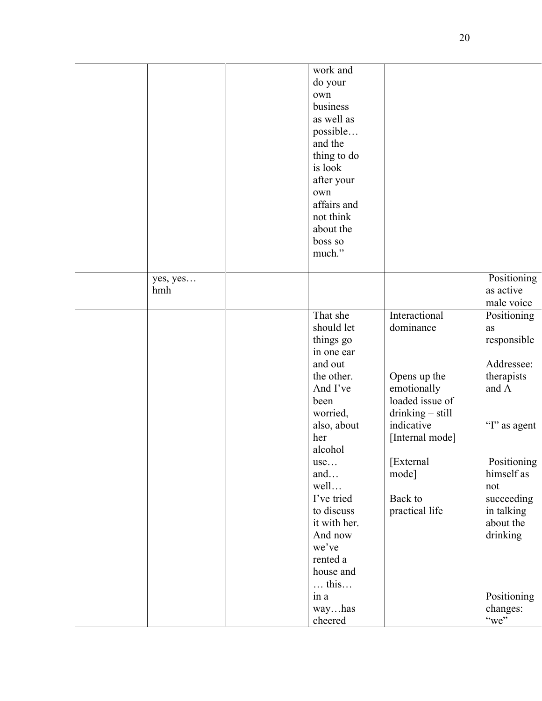|                 | work and<br>do your<br>own<br>business<br>as well as<br>possible<br>and the<br>thing to do<br>is look<br>after your<br>own<br>affairs and<br>not think<br>about the<br>boss so<br>much." |                                                                                                                                     |                                                                                                                           |
|-----------------|------------------------------------------------------------------------------------------------------------------------------------------------------------------------------------------|-------------------------------------------------------------------------------------------------------------------------------------|---------------------------------------------------------------------------------------------------------------------------|
| yes, yes<br>hmh |                                                                                                                                                                                          |                                                                                                                                     | Positioning<br>as active<br>male voice                                                                                    |
|                 | That she<br>should let<br>things go<br>in one ear<br>and out<br>the other.<br>And I've<br>been<br>worried,<br>also, about<br>her<br>alcohol                                              | Interactional<br>dominance<br>Opens up the<br>emotionally<br>loaded issue of<br>$drinking - still$<br>indicative<br>[Internal mode] | Positioning<br>as<br>responsible<br>Addressee:<br>therapists<br>and A<br>"I" as agent                                     |
|                 | use<br>and<br>well<br>I've tried<br>to discuss<br>it with her.<br>And now<br>we've<br>rented a<br>house and<br>$\ldots$ this $\ldots$<br>in a<br>wayhas<br>cheered                       | [External]<br>mode]<br>Back to<br>practical life                                                                                    | Positioning<br>himself as<br>not<br>succeeding<br>in talking<br>about the<br>drinking<br>Positioning<br>changes:<br>``we" |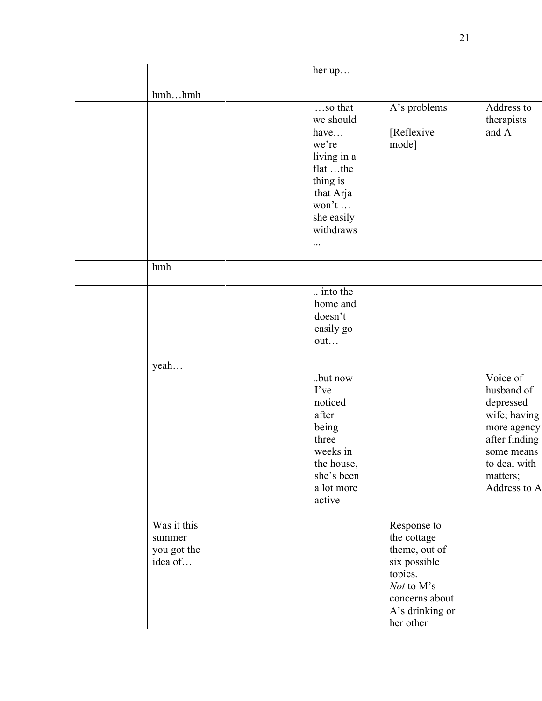|                                                 | her up                                                                                                                                    |                                                                                                                                             |                                                                                                                                               |
|-------------------------------------------------|-------------------------------------------------------------------------------------------------------------------------------------------|---------------------------------------------------------------------------------------------------------------------------------------------|-----------------------------------------------------------------------------------------------------------------------------------------------|
| hmhhmh                                          |                                                                                                                                           |                                                                                                                                             |                                                                                                                                               |
|                                                 | so that<br>we should<br>have<br>we're<br>living in a<br>flat the<br>thing is<br>that Arja<br>won't<br>she easily<br>withdraws<br>$\ddots$ | A's problems<br>[Reflexive<br>mode]                                                                                                         | Address to<br>therapists<br>and A                                                                                                             |
| hmh                                             |                                                                                                                                           |                                                                                                                                             |                                                                                                                                               |
|                                                 | into the<br>home and<br>doesn't<br>easily go<br>out                                                                                       |                                                                                                                                             |                                                                                                                                               |
| yeah                                            |                                                                                                                                           |                                                                                                                                             |                                                                                                                                               |
|                                                 | but now<br>I've<br>noticed<br>after<br>being<br>three<br>weeks in<br>the house,<br>she's been<br>a lot more<br>active                     |                                                                                                                                             | Voice of<br>husband of<br>depressed<br>wife; having<br>more agency<br>after finding<br>some means<br>to deal with<br>matters;<br>Address to A |
| Was it this<br>summer<br>you got the<br>idea of |                                                                                                                                           | Response to<br>the cottage<br>theme, out of<br>six possible<br>topics.<br>$Not$ to $M$ 's<br>concerns about<br>A's drinking or<br>her other |                                                                                                                                               |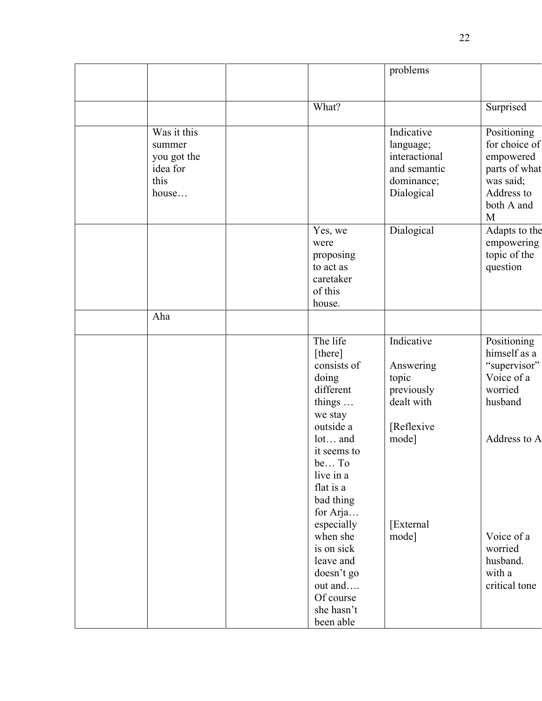|                                                                   |                                                                                                                                | problems                                                                             |                                                                                                          |
|-------------------------------------------------------------------|--------------------------------------------------------------------------------------------------------------------------------|--------------------------------------------------------------------------------------|----------------------------------------------------------------------------------------------------------|
|                                                                   |                                                                                                                                |                                                                                      |                                                                                                          |
|                                                                   | What?                                                                                                                          |                                                                                      | Surprised                                                                                                |
| Was it this<br>summer<br>you got the<br>idea for<br>this<br>house |                                                                                                                                | Indicative<br>language;<br>interactional<br>and semantic<br>dominance;<br>Dialogical | Positioning<br>for choice of<br>empowered<br>parts of what<br>was said;<br>Address to<br>both A and<br>M |
|                                                                   | Yes, we<br>were<br>proposing<br>to act as<br>caretaker<br>of this<br>house.                                                    | Dialogical                                                                           | Adapts to the<br>empowering<br>topic of the<br>question                                                  |
| Aha                                                               |                                                                                                                                |                                                                                      |                                                                                                          |
|                                                                   | The life<br>[there]<br>consists of<br>doing<br>different<br>things<br>we stay                                                  | Indicative<br>Answering<br>topic<br>previously<br>dealt with                         | Positioning<br>himself as a<br>"supervisor"<br>Voice of a<br>worried<br>husband                          |
|                                                                   | outside a<br>lot and<br>it seems to<br>be To<br>live in a<br>flat is a<br>bad thing                                            | [Reflexive<br>mode]                                                                  | Address to A                                                                                             |
|                                                                   | for Arja<br>especially<br>when she<br>is on sick<br>leave and<br>doesn't go<br>out and<br>Of course<br>she hasn't<br>been able | [External]<br>mode]                                                                  | Voice of a<br>worried<br>husband.<br>with a<br>critical tone                                             |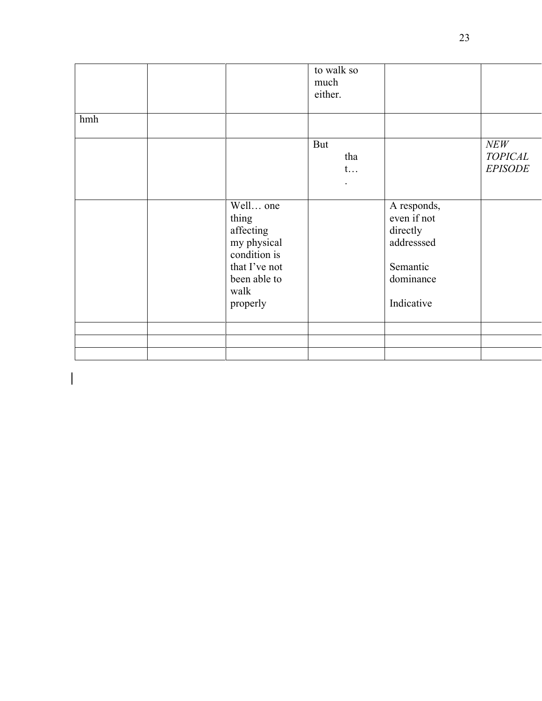|     |                                                                                                                    | to walk so<br>much<br>either.       |                                                                                             |                                         |
|-----|--------------------------------------------------------------------------------------------------------------------|-------------------------------------|---------------------------------------------------------------------------------------------|-----------------------------------------|
| hmh |                                                                                                                    |                                     |                                                                                             |                                         |
|     |                                                                                                                    | <b>But</b><br>tha<br>t<br>$\bullet$ |                                                                                             | NEW<br><b>TOPICAL</b><br><b>EPISODE</b> |
|     | Well one<br>thing<br>affecting<br>my physical<br>condition is<br>that I've not<br>been able to<br>walk<br>properly |                                     | A responds,<br>even if not<br>directly<br>addresssed<br>Semantic<br>dominance<br>Indicative |                                         |
|     |                                                                                                                    |                                     |                                                                                             |                                         |
|     |                                                                                                                    |                                     |                                                                                             |                                         |

 $\begin{array}{c} \hline \end{array}$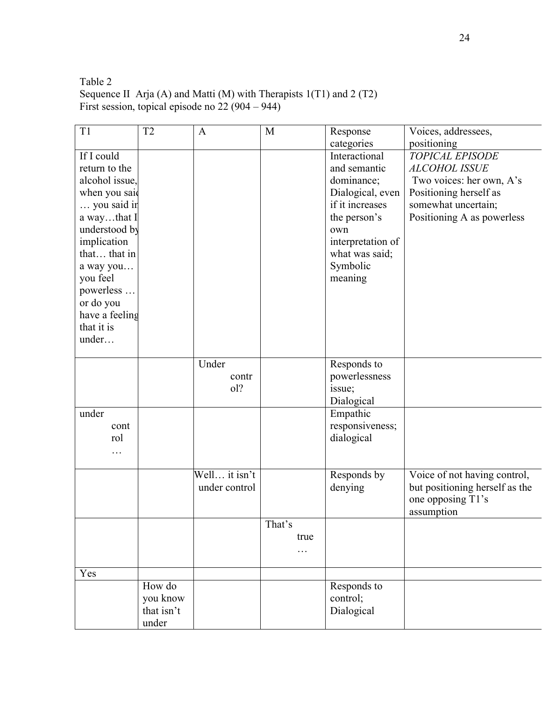| Table 2                                                                |
|------------------------------------------------------------------------|
| Sequence II Aria (A) and Matti (M) with Therapists $1(T1)$ and $2(T2)$ |
| First session, topical episode no $22(904 - 944)$                      |

| T <sub>1</sub> | T <sub>2</sub> | $\mathbf{A}$  | M      | Response          | Voices, addressees,            |
|----------------|----------------|---------------|--------|-------------------|--------------------------------|
|                |                |               |        | categories        | positioning                    |
| If I could     |                |               |        | Interactional     | <b>TOPICAL EPISODE</b>         |
| return to the  |                |               |        | and semantic      | <b>ALCOHOL ISSUE</b>           |
| alcohol issue, |                |               |        | dominance;        | Two voices: her own, A's       |
| when you said  |                |               |        | Dialogical, even  | Positioning herself as         |
| you said in    |                |               |        | if it increases   | somewhat uncertain;            |
| a waythat I    |                |               |        | the person's      | Positioning A as powerless     |
| understood by  |                |               |        | own               |                                |
| implication    |                |               |        | interpretation of |                                |
| that that in   |                |               |        | what was said;    |                                |
| a way you      |                |               |        | Symbolic          |                                |
| you feel       |                |               |        | meaning           |                                |
| powerless      |                |               |        |                   |                                |
| or do you      |                |               |        |                   |                                |
| have a feeling |                |               |        |                   |                                |
| that it is     |                |               |        |                   |                                |
| under          |                |               |        |                   |                                |
|                |                |               |        |                   |                                |
|                |                | Under         |        | Responds to       |                                |
|                |                | contr         |        | powerlessness     |                                |
|                |                | ol?           |        | issue;            |                                |
|                |                |               |        | Dialogical        |                                |
| under          |                |               |        | Empathic          |                                |
| cont           |                |               |        | responsiveness;   |                                |
| rol            |                |               |        | dialogical        |                                |
| $\cdots$       |                |               |        |                   |                                |
|                |                |               |        |                   |                                |
|                |                | Well it isn't |        | Responds by       | Voice of not having control,   |
|                |                | under control |        | denying           | but positioning herself as the |
|                |                |               |        |                   | one opposing T1's              |
|                |                |               |        |                   | assumption                     |
|                |                |               | That's |                   |                                |
|                |                |               | true   |                   |                                |
|                |                |               | .      |                   |                                |
|                |                |               |        |                   |                                |
| Yes            |                |               |        |                   |                                |
|                | How do         |               |        | Responds to       |                                |
|                | you know       |               |        | control;          |                                |
|                | that isn't     |               |        | Dialogical        |                                |
|                | under          |               |        |                   |                                |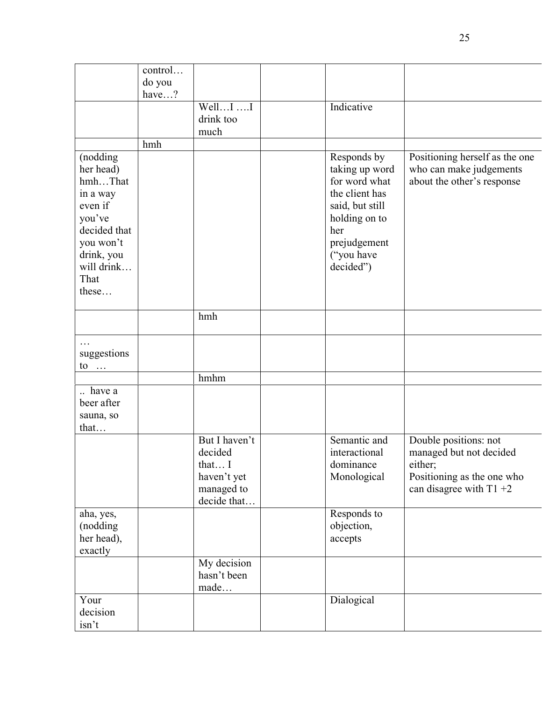|                                                                                                                                             | control |               |                                                                                                                                                        |                                                                                         |
|---------------------------------------------------------------------------------------------------------------------------------------------|---------|---------------|--------------------------------------------------------------------------------------------------------------------------------------------------------|-----------------------------------------------------------------------------------------|
|                                                                                                                                             | do you  |               |                                                                                                                                                        |                                                                                         |
|                                                                                                                                             | have?   |               |                                                                                                                                                        |                                                                                         |
|                                                                                                                                             |         | $WellI$ I     | Indicative                                                                                                                                             |                                                                                         |
|                                                                                                                                             |         | drink too     |                                                                                                                                                        |                                                                                         |
|                                                                                                                                             |         | much          |                                                                                                                                                        |                                                                                         |
|                                                                                                                                             | hmh     |               |                                                                                                                                                        |                                                                                         |
| (nodding<br>her head)<br>hmhThat<br>in a way<br>even if<br>you've<br>decided that<br>you won't<br>drink, you<br>will drink<br>That<br>these |         |               | Responds by<br>taking up word<br>for word what<br>the client has<br>said, but still<br>holding on to<br>her<br>prejudgement<br>("you have<br>decided") | Positioning herself as the one<br>who can make judgements<br>about the other's response |
|                                                                                                                                             |         | hmh           |                                                                                                                                                        |                                                                                         |
| $\cdots$<br>suggestions                                                                                                                     |         |               |                                                                                                                                                        |                                                                                         |
| to $\ldots$                                                                                                                                 |         |               |                                                                                                                                                        |                                                                                         |
|                                                                                                                                             |         | hmhm          |                                                                                                                                                        |                                                                                         |
| have a                                                                                                                                      |         |               |                                                                                                                                                        |                                                                                         |
| beer after                                                                                                                                  |         |               |                                                                                                                                                        |                                                                                         |
| sauna, so                                                                                                                                   |         |               |                                                                                                                                                        |                                                                                         |
| that                                                                                                                                        |         |               |                                                                                                                                                        |                                                                                         |
|                                                                                                                                             |         | But I haven't | Semantic and                                                                                                                                           | Double positions: not                                                                   |
|                                                                                                                                             |         | decided       | interactional                                                                                                                                          | managed but not decided                                                                 |
|                                                                                                                                             |         | that $I$      | dominance                                                                                                                                              | either;                                                                                 |
|                                                                                                                                             |         | haven't yet   | Monological                                                                                                                                            | Positioning as the one who                                                              |
|                                                                                                                                             |         | managed to    |                                                                                                                                                        | can disagree with $T1 + 2$                                                              |
|                                                                                                                                             |         | decide that   |                                                                                                                                                        |                                                                                         |
| aha, yes,                                                                                                                                   |         |               | Responds to                                                                                                                                            |                                                                                         |
| (nodding                                                                                                                                    |         |               | objection,                                                                                                                                             |                                                                                         |
| her head),                                                                                                                                  |         |               | accepts                                                                                                                                                |                                                                                         |
| exactly                                                                                                                                     |         |               |                                                                                                                                                        |                                                                                         |
|                                                                                                                                             |         | My decision   |                                                                                                                                                        |                                                                                         |
|                                                                                                                                             |         | hasn't been   |                                                                                                                                                        |                                                                                         |
|                                                                                                                                             |         | made          |                                                                                                                                                        |                                                                                         |
| Your                                                                                                                                        |         |               | Dialogical                                                                                                                                             |                                                                                         |
| decision<br>isn't                                                                                                                           |         |               |                                                                                                                                                        |                                                                                         |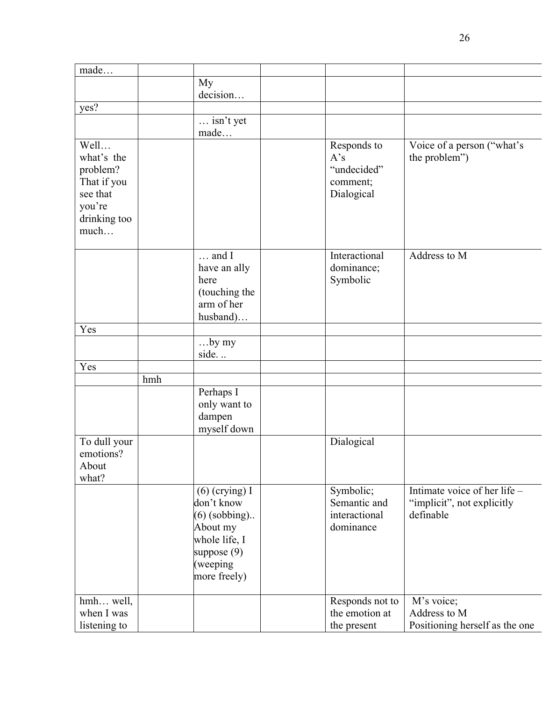| made         |     |                               |                            |                                |
|--------------|-----|-------------------------------|----------------------------|--------------------------------|
|              |     | My                            |                            |                                |
|              |     | decision                      |                            |                                |
| yes?         |     |                               |                            |                                |
|              |     | $\overline{\ldots}$ isn't yet |                            |                                |
|              |     | made                          |                            |                                |
| Well         |     |                               | Responds to                | Voice of a person ("what's     |
| what's the   |     |                               | A's                        | the problem")                  |
| problem?     |     |                               | "undecided"                |                                |
| That if you  |     |                               | comment;                   |                                |
| see that     |     |                               | Dialogical                 |                                |
| you're       |     |                               |                            |                                |
| drinking too |     |                               |                            |                                |
| much         |     |                               |                            |                                |
|              |     |                               |                            |                                |
|              |     | $\ldots$ and I                | Interactional              | Address to M                   |
|              |     | have an ally                  | dominance;                 |                                |
|              |     | here                          | Symbolic                   |                                |
|              |     | (touching the                 |                            |                                |
|              |     | arm of her                    |                            |                                |
|              |     | husband)                      |                            |                                |
| Yes          |     |                               |                            |                                |
|              |     | $$ by my                      |                            |                                |
|              |     | side                          |                            |                                |
| Yes          |     |                               |                            |                                |
|              | hmh |                               |                            |                                |
|              |     | Perhaps I                     |                            |                                |
|              |     | only want to                  |                            |                                |
|              |     | dampen                        |                            |                                |
|              |     | myself down                   |                            |                                |
| To dull your |     |                               | Dialogical                 |                                |
| emotions?    |     |                               |                            |                                |
| About        |     |                               |                            |                                |
| what?        |     |                               |                            |                                |
|              |     | $(6)$ (crying) I              | Symbolic;                  | Intimate voice of her life -   |
|              |     | don't know                    | Semantic and               | "implicit", not explicitly     |
|              |     | $(6)$ (sobbing)               | interactional<br>dominance | definable                      |
|              |     | About my                      |                            |                                |
|              |     | whole life, I                 |                            |                                |
|              |     | suppose $(9)$                 |                            |                                |
|              |     | (weeping)                     |                            |                                |
|              |     | more freely)                  |                            |                                |
| hmh well,    |     |                               | Responds not to            | M's voice;                     |
| when I was   |     |                               | the emotion at             | Address to M                   |
| listening to |     |                               | the present                | Positioning herself as the one |
|              |     |                               |                            |                                |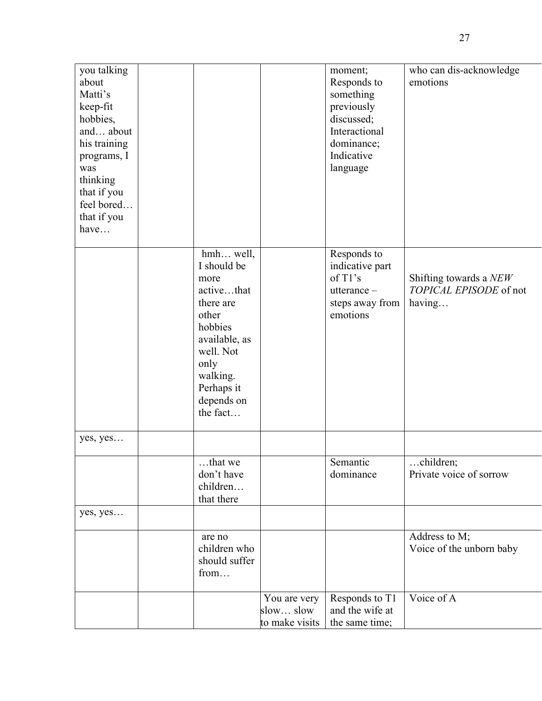| you talking<br>about<br>Matti's<br>keep-fit<br>hobbies,<br>and about<br>his training<br>programs, I<br>was<br>thinking<br>that if you<br>feel bored<br>that if you<br>have |                                                                                                                                                                           |                                             | moment;<br>Responds to<br>something<br>previously<br>discussed;<br>Interactional<br>dominance;<br>Indicative<br>language | who can dis-acknowledge<br>emotions                        |
|----------------------------------------------------------------------------------------------------------------------------------------------------------------------------|---------------------------------------------------------------------------------------------------------------------------------------------------------------------------|---------------------------------------------|--------------------------------------------------------------------------------------------------------------------------|------------------------------------------------------------|
|                                                                                                                                                                            | hmh well,<br>I should be<br>more<br>activethat<br>there are<br>other<br>hobbies<br>available, as<br>well. Not<br>only<br>walking.<br>Perhaps it<br>depends on<br>the fact |                                             | Responds to<br>indicative part<br>of T1's<br>utterance -<br>steps away from<br>emotions                                  | Shifting towards a NEW<br>TOPICAL EPISODE of not<br>having |
| yes, yes                                                                                                                                                                   |                                                                                                                                                                           |                                             |                                                                                                                          |                                                            |
|                                                                                                                                                                            | that we<br>don't have<br>children<br>that there                                                                                                                           |                                             | Semantic<br>dominance                                                                                                    | children;<br>Private voice of sorrow                       |
| yes, yes                                                                                                                                                                   |                                                                                                                                                                           |                                             |                                                                                                                          |                                                            |
|                                                                                                                                                                            | are no<br>children who<br>should suffer<br>from                                                                                                                           |                                             |                                                                                                                          | Address to M;<br>Voice of the unborn baby                  |
|                                                                                                                                                                            |                                                                                                                                                                           | You are very<br>slow slow<br>to make visits | Responds to T1<br>and the wife at<br>the same time;                                                                      | Voice of A                                                 |